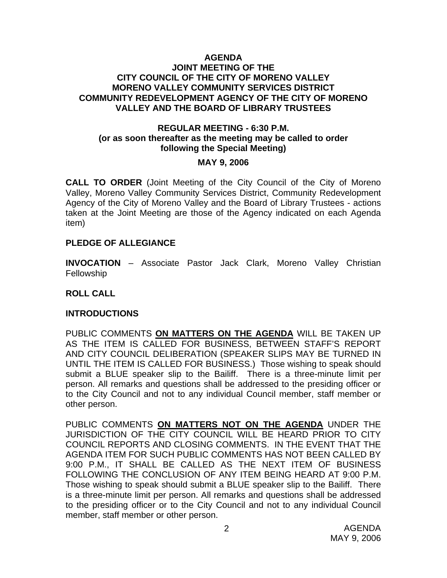#### **AGENDA JOINT MEETING OF THE CITY COUNCIL OF THE CITY OF MORENO VALLEY MORENO VALLEY COMMUNITY SERVICES DISTRICT COMMUNITY REDEVELOPMENT AGENCY OF THE CITY OF MORENO VALLEY AND THE BOARD OF LIBRARY TRUSTEES**

## **REGULAR MEETING - 6:30 P.M. (or as soon thereafter as the meeting may be called to order following the Special Meeting)**

#### **MAY 9, 2006**

**CALL TO ORDER** (Joint Meeting of the City Council of the City of Moreno Valley, Moreno Valley Community Services District, Community Redevelopment Agency of the City of Moreno Valley and the Board of Library Trustees - actions taken at the Joint Meeting are those of the Agency indicated on each Agenda item)

## **PLEDGE OF ALLEGIANCE**

**INVOCATION** – Associate Pastor Jack Clark, Moreno Valley Christian **Fellowship** 

### **ROLL CALL**

## **INTRODUCTIONS**

PUBLIC COMMENTS **ON MATTERS ON THE AGENDA** WILL BE TAKEN UP AS THE ITEM IS CALLED FOR BUSINESS, BETWEEN STAFF'S REPORT AND CITY COUNCIL DELIBERATION (SPEAKER SLIPS MAY BE TURNED IN UNTIL THE ITEM IS CALLED FOR BUSINESS.) Those wishing to speak should submit a BLUE speaker slip to the Bailiff. There is a three-minute limit per person. All remarks and questions shall be addressed to the presiding officer or to the City Council and not to any individual Council member, staff member or other person.

PUBLIC COMMENTS **ON MATTERS NOT ON THE AGENDA** UNDER THE JURISDICTION OF THE CITY COUNCIL WILL BE HEARD PRIOR TO CITY COUNCIL REPORTS AND CLOSING COMMENTS. IN THE EVENT THAT THE AGENDA ITEM FOR SUCH PUBLIC COMMENTS HAS NOT BEEN CALLED BY 9:00 P.M., IT SHALL BE CALLED AS THE NEXT ITEM OF BUSINESS FOLLOWING THE CONCLUSION OF ANY ITEM BEING HEARD AT 9:00 P.M. Those wishing to speak should submit a BLUE speaker slip to the Bailiff. There is a three-minute limit per person. All remarks and questions shall be addressed to the presiding officer or to the City Council and not to any individual Council member, staff member or other person.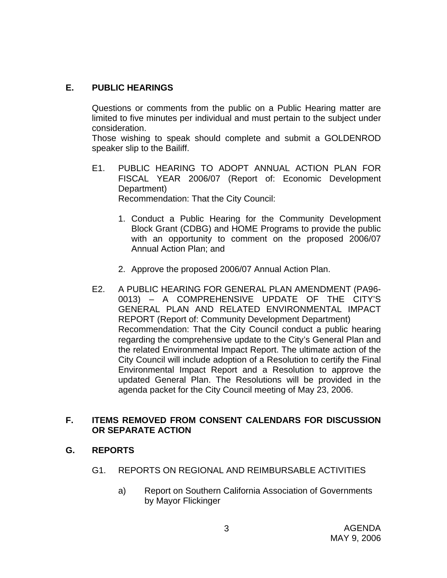# **E. PUBLIC HEARINGS**

Questions or comments from the public on a Public Hearing matter are limited to five minutes per individual and must pertain to the subject under consideration.

 Those wishing to speak should complete and submit a GOLDENROD speaker slip to the Bailiff.

- E1. PUBLIC HEARING TO ADOPT ANNUAL ACTION PLAN FOR FISCAL YEAR 2006/07 (Report of: Economic Development Department) Recommendation: That the City Council:
	- 1. Conduct a Public Hearing for the Community Development Block Grant (CDBG) and HOME Programs to provide the public with an opportunity to comment on the proposed 2006/07 Annual Action Plan; and
	- 2. Approve the proposed 2006/07 Annual Action Plan.
- E2. A PUBLIC HEARING FOR GENERAL PLAN AMENDMENT (PA96- 0013) – A COMPREHENSIVE UPDATE OF THE CITY'S GENERAL PLAN AND RELATED ENVIRONMENTAL IMPACT REPORT (Report of: Community Development Department) Recommendation: That the City Council conduct a public hearing regarding the comprehensive update to the City's General Plan and the related Environmental Impact Report. The ultimate action of the City Council will include adoption of a Resolution to certify the Final Environmental Impact Report and a Resolution to approve the updated General Plan. The Resolutions will be provided in the agenda packet for the City Council meeting of May 23, 2006.

# **F. ITEMS REMOVED FROM CONSENT CALENDARS FOR DISCUSSION OR SEPARATE ACTION**

- **G. REPORTS** 
	- G1. REPORTS ON REGIONAL AND REIMBURSABLE ACTIVITIES
		- a) Report on Southern California Association of Governments by Mayor Flickinger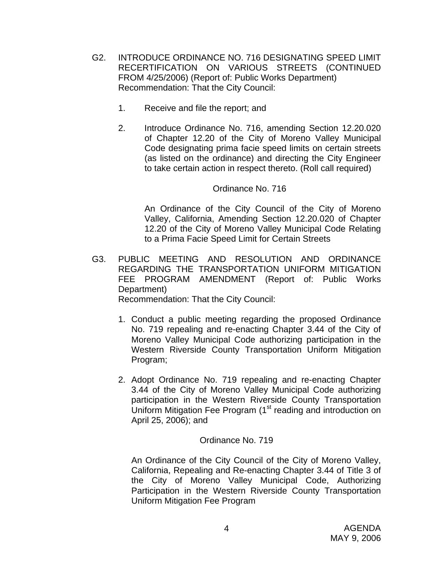- G2. INTRODUCE ORDINANCE NO. 716 DESIGNATING SPEED LIMIT RECERTIFICATION ON VARIOUS STREETS (CONTINUED FROM 4/25/2006) (Report of: Public Works Department) Recommendation: That the City Council:
	- 1. Receive and file the report; and
	- 2. Introduce Ordinance No. 716, amending Section 12.20.020 of Chapter 12.20 of the City of Moreno Valley Municipal Code designating prima facie speed limits on certain streets (as listed on the ordinance) and directing the City Engineer to take certain action in respect thereto. (Roll call required)

## Ordinance No. 716

 An Ordinance of the City Council of the City of Moreno Valley, California, Amending Section 12.20.020 of Chapter 12.20 of the City of Moreno Valley Municipal Code Relating to a Prima Facie Speed Limit for Certain Streets

- G3. PUBLIC MEETING AND RESOLUTION AND ORDINANCE REGARDING THE TRANSPORTATION UNIFORM MITIGATION FEE PROGRAM AMENDMENT (Report of: Public Works Department) Recommendation: That the City Council:
	- 1. Conduct a public meeting regarding the proposed Ordinance No. 719 repealing and re-enacting Chapter 3.44 of the City of Moreno Valley Municipal Code authorizing participation in the Western Riverside County Transportation Uniform Mitigation Program;
	- 2. Adopt Ordinance No. 719 repealing and re-enacting Chapter 3.44 of the City of Moreno Valley Municipal Code authorizing participation in the Western Riverside County Transportation Uniform Mitigation Fee Program (1<sup>st</sup> reading and introduction on April 25, 2006); and

## Ordinance No. 719

 An Ordinance of the City Council of the City of Moreno Valley, California, Repealing and Re-enacting Chapter 3.44 of Title 3 of the City of Moreno Valley Municipal Code, Authorizing Participation in the Western Riverside County Transportation Uniform Mitigation Fee Program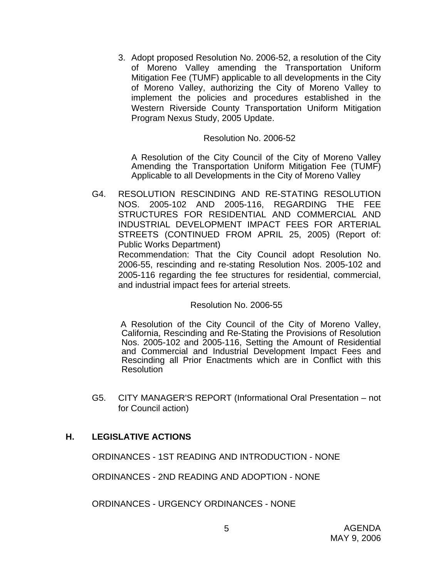3. Adopt proposed Resolution No. 2006-52, a resolution of the City of Moreno Valley amending the Transportation Uniform Mitigation Fee (TUMF) applicable to all developments in the City of Moreno Valley, authorizing the City of Moreno Valley to implement the policies and procedures established in the Western Riverside County Transportation Uniform Mitigation Program Nexus Study, 2005 Update.

#### Resolution No. 2006-52

 A Resolution of the City Council of the City of Moreno Valley Amending the Transportation Uniform Mitigation Fee (TUMF) Applicable to all Developments in the City of Moreno Valley

G4. RESOLUTION RESCINDING AND RE-STATING RESOLUTION NOS. 2005-102 AND 2005-116, REGARDING THE FEE STRUCTURES FOR RESIDENTIAL AND COMMERCIAL AND INDUSTRIAL DEVELOPMENT IMPACT FEES FOR ARTERIAL STREETS (CONTINUED FROM APRIL 25, 2005) (Report of: Public Works Department)

 Recommendation: That the City Council adopt Resolution No. 2006-55, rescinding and re-stating Resolution Nos. 2005-102 and 2005-116 regarding the fee structures for residential, commercial, and industrial impact fees for arterial streets.

## Resolution No. 2006-55

 A Resolution of the City Council of the City of Moreno Valley, California, Rescinding and Re-Stating the Provisions of Resolution Nos. 2005-102 and 2005-116, Setting the Amount of Residential and Commercial and Industrial Development Impact Fees and Rescinding all Prior Enactments which are in Conflict with this **Resolution** 

G5. CITY MANAGER'S REPORT (Informational Oral Presentation – not for Council action)

## **H. LEGISLATIVE ACTIONS**

ORDINANCES - 1ST READING AND INTRODUCTION - NONE

ORDINANCES - 2ND READING AND ADOPTION - NONE

ORDINANCES - URGENCY ORDINANCES - NONE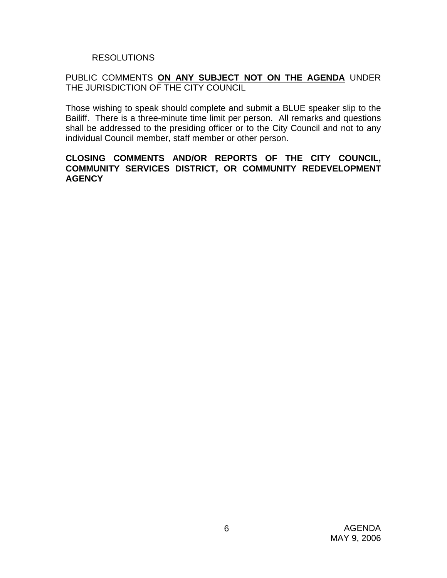## RESOLUTIONS

## PUBLIC COMMENTS **ON ANY SUBJECT NOT ON THE AGENDA** UNDER THE JURISDICTION OF THE CITY COUNCIL

Those wishing to speak should complete and submit a BLUE speaker slip to the Bailiff. There is a three-minute time limit per person. All remarks and questions shall be addressed to the presiding officer or to the City Council and not to any individual Council member, staff member or other person.

## **CLOSING COMMENTS AND/OR REPORTS OF THE CITY COUNCIL, COMMUNITY SERVICES DISTRICT, OR COMMUNITY REDEVELOPMENT AGENCY**